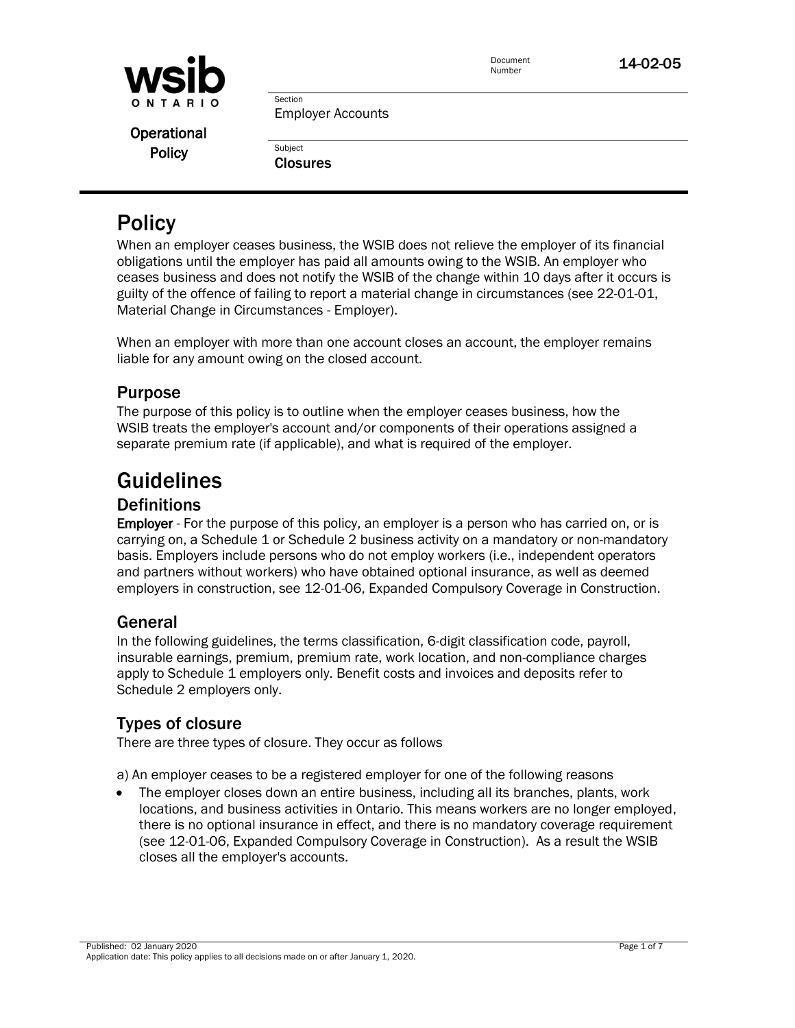

Document

**Operational Policy** 

Employer Accounts

**Subject Closures** 

Section

# **Policy**

When an employer ceases business, the WSIB does not relieve the employer of its financial obligations until the employer has paid all amounts owing to the WSIB. An employer who ceases business and does not notify the WSIB of the change within 10 days after it occurs is guilty of the offence of failing to report a material change in circumstances (see [22-01-01,](http://www.wsib.on.ca/WSIBPortal/faces/WSIBManualPage?cGUID=22-01-01&rDef=WSIB_RD_OPM&fGUID=835502100635000534)  [Material Change in Circumstances -](http://www.wsib.on.ca/WSIBPortal/faces/WSIBManualPage?cGUID=22-01-01&rDef=WSIB_RD_OPM&fGUID=835502100635000534) Employer).

When an employer with more than one account closes an account, the employer remains liable for any amount owing on the closed account.

# Purpose

The purpose of this policy is to outline when the employer ceases business, how the WSIB treats the employer's account and/or components of their operations assigned a separate premium rate (if applicable), and what is required of the employer.

# Guidelines

# **Definitions**

**Employer** - For the purpose of this policy, an employer is a person who has carried on, or is carrying on, a Schedule 1 or Schedule 2 business activity on a mandatory or non-mandatory basis. Employers include persons who do not employ workers (i.e., independent operators and partners without workers) who have obtained optional insurance, as well as deemed employers in construction, see 12-01-06, Expanded Compulsory Coverage in Construction.

# General

In the following guidelines, the terms classification, 6-digit classification code, payroll, insurable earnings, premium, premium rate, work location, and non-compliance charges apply to Schedule 1 employers only. Benefit costs and invoices and deposits refer to Schedule 2 employers only.

# Types of closure

There are three types of closure. They occur as follows

a) An employer ceases to be a registered employer for one of the following reasons

 The employer closes down an entire business, including all its branches, plants, work locations, and business activities in Ontario. This means workers are no longer employed, there is no optional insurance in effect, and there is no mandatory coverage requirement (see 12-01-06, Expanded Compulsory Coverage in Construction). As a result the WSIB closes all the employer's accounts.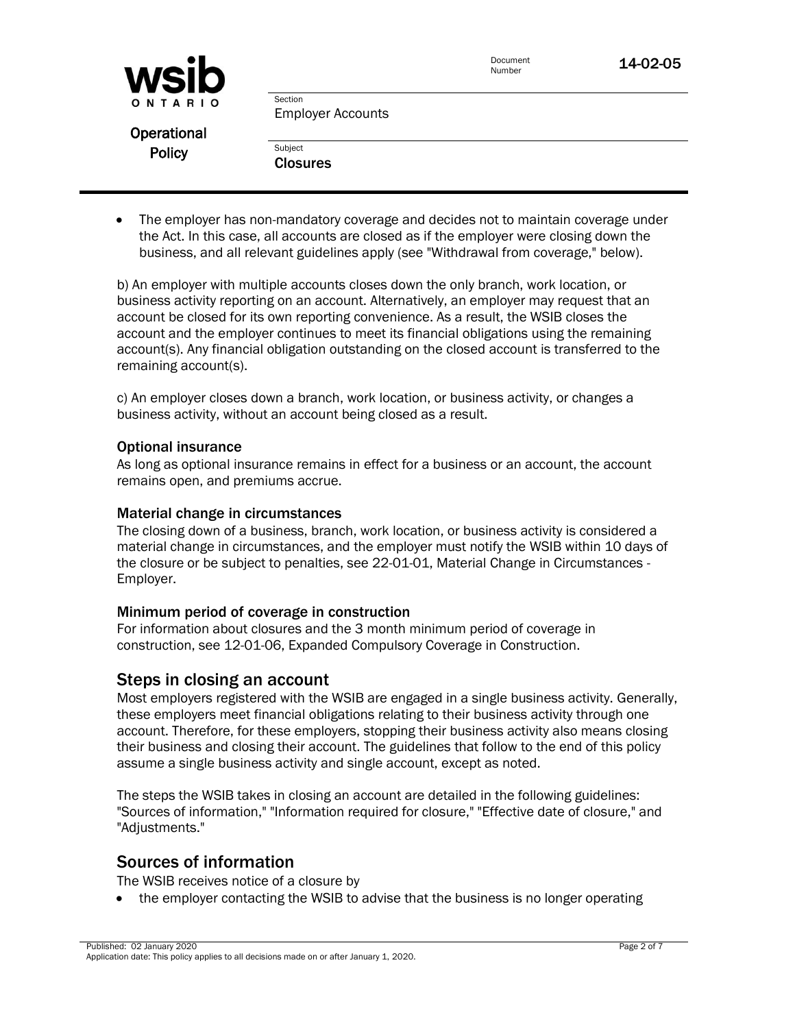| <b>WSID</b>   |                                     | Document<br>Number | 14-02-05 |
|---------------|-------------------------------------|--------------------|----------|
| ONTARIO       | Section<br><b>Employer Accounts</b> |                    |          |
| Operational   |                                     |                    |          |
| <b>Policy</b> | Subject                             |                    |          |
|               | <b>Closures</b>                     |                    |          |

 The employer has non-mandatory coverage and decides not to maintain coverage under the Act. In this case, all accounts are closed as if the employer were closing down the business, and all relevant guidelines apply (see "Withdrawal from coverage," below).

b) An employer with multiple accounts closes down the only branch, work location, or business activity reporting on an account. Alternatively, an employer may request that an account be closed for its own reporting convenience. As a result, the WSIB closes the account and the employer continues to meet its financial obligations using the remaining account(s). Any financial obligation outstanding on the closed account is transferred to the remaining account(s).

c) An employer closes down a branch, work location, or business activity, or changes a business activity, without an account being closed as a result.

#### Optional insurance

As long as optional insurance remains in effect for a business or an account, the account remains open, and premiums accrue.

#### Material change in circumstances

The closing down of a business, branch, work location, or business activity is considered a material change in circumstances, and the employer must notify the WSIB within 10 days of the closure or be subject to penalties, see [22-01-01, Material Change in Circumstances -](http://www.wsib.on.ca/WSIBPortal/faces/WSIBManualPage?cGUID=22-01-01&rDef=WSIB_RD_OPM&fGUID=835502100635000534) [Employer.](http://www.wsib.on.ca/WSIBPortal/faces/WSIBManualPage?cGUID=22-01-01&rDef=WSIB_RD_OPM&fGUID=835502100635000534)

#### Minimum period of coverage in construction

For information about closures and the 3 month minimum period of coverage in construction, see 12-01-06, Expanded Compulsory Coverage in Construction.

### Steps in closing an account

Most employers registered with the WSIB are engaged in a single business activity. Generally, these employers meet financial obligations relating to their business activity through one account. Therefore, for these employers, stopping their business activity also means closing their business and closing their account. The guidelines that follow to the end of this policy assume a single business activity and single account, except as noted.

The steps the WSIB takes in closing an account are detailed in the following guidelines: ["Sources of information,](http://www.wsib.on.ca/WSIBPortal/faces/WSIBManualPage?cGUID=14-02-05&fGUID=835502100635000491&_afrLoop=656205003390000&_afrWindowMode=0&_afrWindowId=bq4fbdnqt_128#sources)" ["Information required for closure,](http://www.wsib.on.ca/WSIBPortal/faces/WSIBManualPage?cGUID=14-02-05&fGUID=835502100635000491&_afrLoop=656205003390000&_afrWindowMode=0&_afrWindowId=bq4fbdnqt_128#infoclosure)" ["Effective date of closure,](http://www.wsib.on.ca/WSIBPortal/faces/WSIBManualPage?cGUID=14-02-05&fGUID=835502100635000491&_afrLoop=656205003390000&_afrWindowMode=0&_afrWindowId=bq4fbdnqt_128#effective)" and ["Adjustments.](http://www.wsib.on.ca/WSIBPortal/faces/WSIBManualPage?cGUID=14-02-05&fGUID=835502100635000491&_afrLoop=656205003390000&_afrWindowMode=0&_afrWindowId=bq4fbdnqt_128#adjustments)"

### Sources of information

The WSIB receives notice of a closure by

• the employer contacting the WSIB to advise that the business is no longer operating

Published: 02 January 2020 Page 2 of 7 Application date: This policy applies to all decisions made on or after January 1, 2020.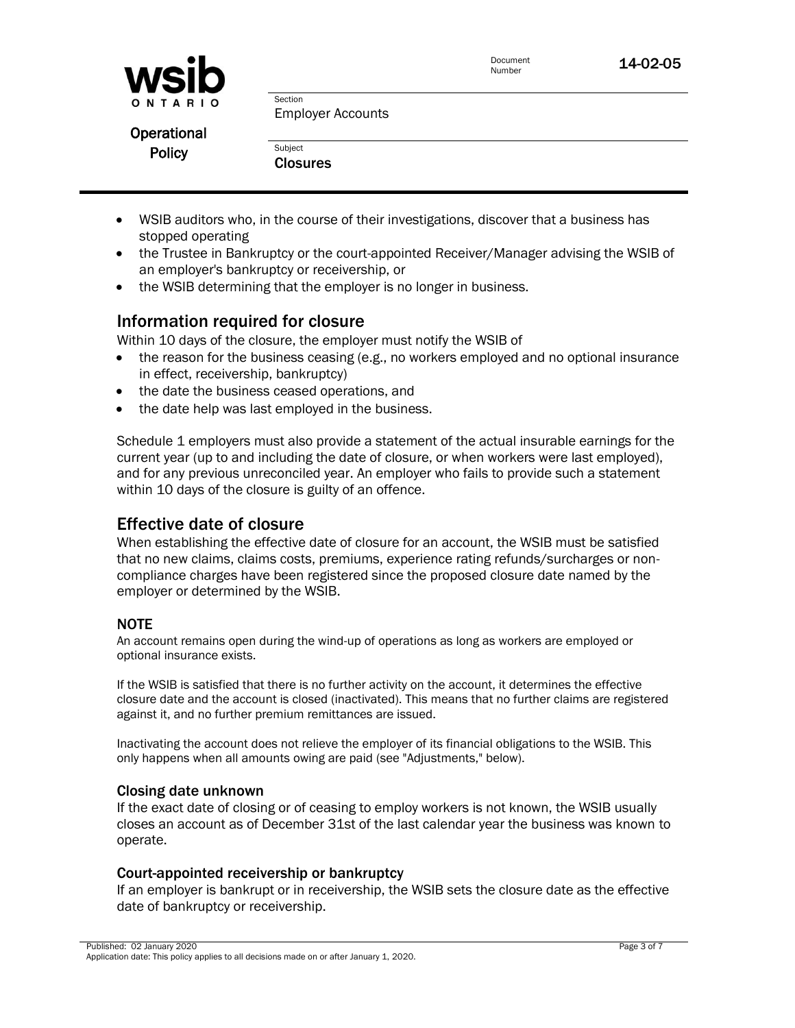

**Operational Policy** 

| Subject         |
|-----------------|
| <b>Closures</b> |

- WSIB auditors who, in the course of their investigations, discover that a business has stopped operating
- the Trustee in Bankruptcy or the court-appointed Receiver/Manager advising the WSIB of an employer's bankruptcy or receivership, or
- the WSIB determining that the employer is no longer in business.

# Information required for closure

Within 10 days of the closure, the employer must notify the WSIB of

- the reason for the business ceasing (e.g., no workers employed and no optional insurance in effect, receivership, bankruptcy)
- the date the business ceased operations, and
- the date help was last employed in the business.

Schedule 1 employers must also provide a statement of the actual insurable earnings for the current year (up to and including the date of closure, or when workers were last employed), and for any previous unreconciled year. An employer who fails to provide such a statement within 10 days of the closure is guilty of an offence.

# Effective date of closure

When establishing the effective date of closure for an account, the WSIB must be satisfied that no new claims, claims costs, premiums, experience rating refunds/surcharges or noncompliance charges have been registered since the proposed closure date named by the employer or determined by the WSIB.

### NOTE

An account remains open during the wind-up of operations as long as workers are employed or optional insurance exists.

If the WSIB is satisfied that there is no further activity on the account, it determines the effective closure date and the account is closed (inactivated). This means that no further claims are registered against it, and no further premium remittances are issued.

Inactivating the account does not relieve the employer of its financial obligations to the WSIB. This only happens when all amounts owing are paid (see "Adjustments," below).

### Closing date unknown

If the exact date of closing or of ceasing to employ workers is not known, the WSIB usually closes an account as of December 31st of the last calendar year the business was known to operate.

### Court-appointed receivership or bankruptcy

If an employer is bankrupt or in receivership, the WSIB sets the closure date as the effective date of bankruptcy or receivership.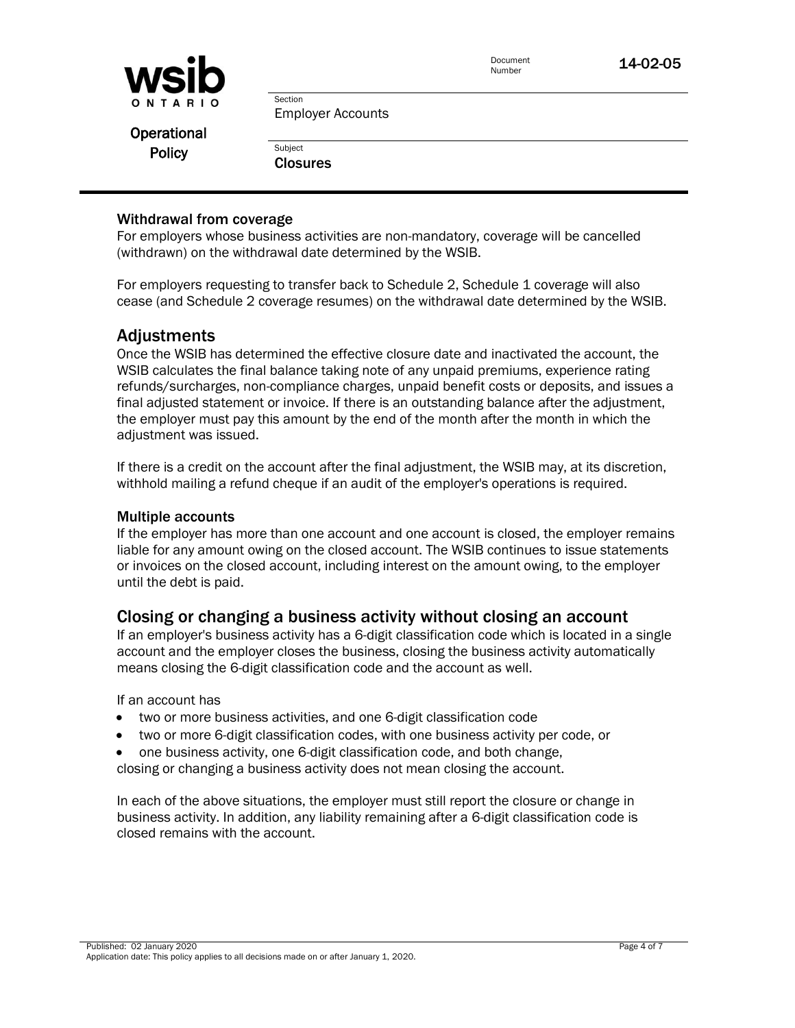

Document

Employer Accounts

**Operational Policy** 

**Subject Closures** 

Section

#### Withdrawal from coverage

For employers whose business activities are non-mandatory, coverage will be cancelled (withdrawn) on the withdrawal date determined by the WSIB.

For employers requesting to transfer back to Schedule 2, Schedule 1 coverage will also cease (and Schedule 2 coverage resumes) on the withdrawal date determined by the WSIB.

### Adjustments

Once the WSIB has determined the effective closure date and inactivated the account, the WSIB calculates the final balance taking note of any unpaid premiums, experience rating refunds/surcharges, non-compliance charges, unpaid benefit costs or deposits, and issues a final adjusted statement or invoice. If there is an outstanding balance after the adjustment, the employer must pay this amount by the end of the month after the month in which the adjustment was issued.

If there is a credit on the account after the final adjustment, the WSIB may, at its discretion, withhold mailing a refund cheque if an audit of the employer's operations is required.

#### Multiple accounts

If the employer has more than one account and one account is closed, the employer remains liable for any amount owing on the closed account. The WSIB continues to issue statements or invoices on the closed account, including interest on the amount owing, to the employer until the debt is paid.

### Closing or changing a business activity without closing an account

If an employer's business activity has a 6-digit classification code which is located in a single account and the employer closes the business, closing the business activity automatically means closing the 6-digit classification code and the account as well.

If an account has

- two or more business activities, and one 6-digit classification code
- two or more 6-digit classification codes, with one business activity per code, or
- one business activity, one 6-digit classification code, and both change, closing or changing a business activity does not mean closing the account.

In each of the above situations, the employer must still report the closure or change in business activity. In addition, any liability remaining after a 6-digit classification code is closed remains with the account.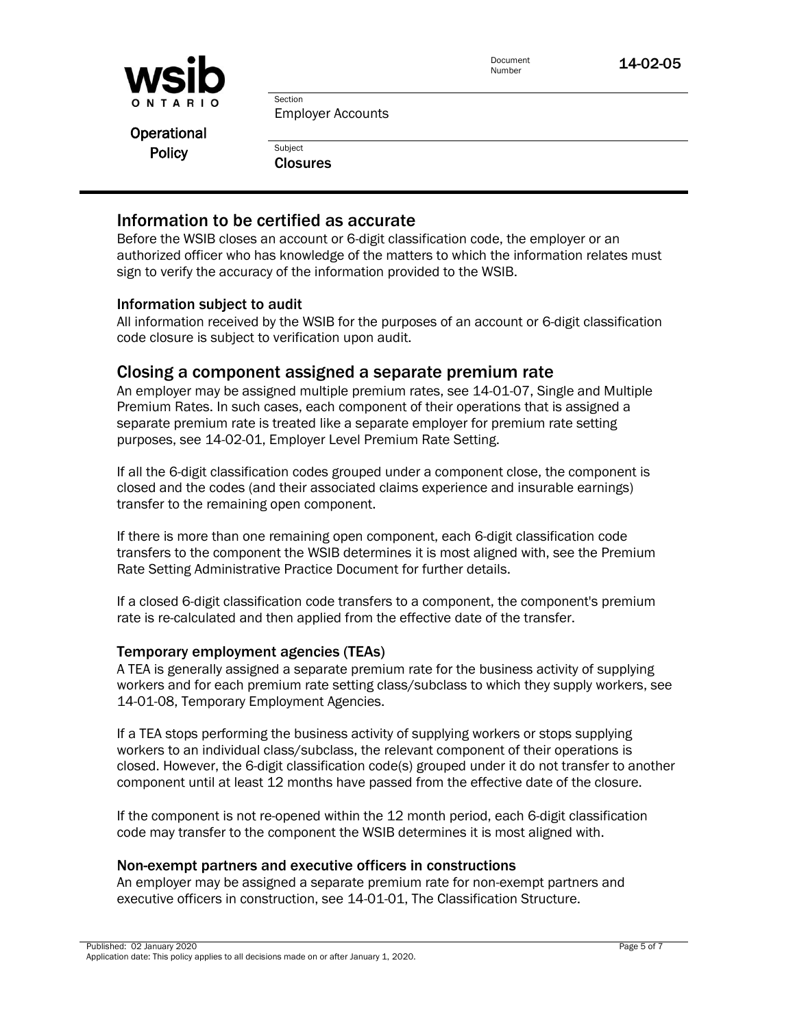

Document

Document **14-02-05** 

Employer Accounts

**Operational Policy** 

**Subject Closures** 

Section

## Information to be certified as accurate

Before the WSIB closes an account or 6-digit classification code, the employer or an authorized officer who has knowledge of the matters to which the information relates must sign to verify the accuracy of the information provided to the WSIB.

### Information subject to audit

All information received by the WSIB for the purposes of an account or 6-digit classification code closure is subject to verification upon audit.

### Closing a component assigned a separate premium rate

An employer may be assigned multiple premium rates, see 14-01-07, Single and Multiple Premium Rates. In such cases, each component of their operations that is assigned a separate premium rate is treated like a separate employer for premium rate setting purposes, see 14-02-01, Employer Level Premium Rate Setting.

If all the 6-digit classification codes grouped under a component close, the component is closed and the codes (and their associated claims experience and insurable earnings) transfer to the remaining open component.

If there is more than one remaining open component, each 6-digit classification code transfers to the component the WSIB determines it is most aligned with, see the Premium Rate Setting Administrative Practice Document for further details.

If a closed 6-digit classification code transfers to a component, the component's premium rate is re-calculated and then applied from the effective date of the transfer.

### Temporary employment agencies (TEAs)

A TEA is generally assigned a separate premium rate for the business activity of supplying workers and for each premium rate setting class/subclass to which they supply workers, see 14-01-08, Temporary Employment Agencies.

If a TEA stops performing the business activity of supplying workers or stops supplying workers to an individual class/subclass, the relevant component of their operations is closed. However, the 6-digit classification code(s) grouped under it do not transfer to another component until at least 12 months have passed from the effective date of the closure.

If the component is not re-opened within the 12 month period, each 6-digit classification code may transfer to the component the WSIB determines it is most aligned with.

### Non-exempt partners and executive officers in constructions

An employer may be assigned a separate premium rate for non-exempt partners and executive officers in construction, see 14-01-01, The Classification Structure.

Published: 02 January 2020 Page 5 of 7 Application date: This policy applies to all decisions made on or after January 1, 2020.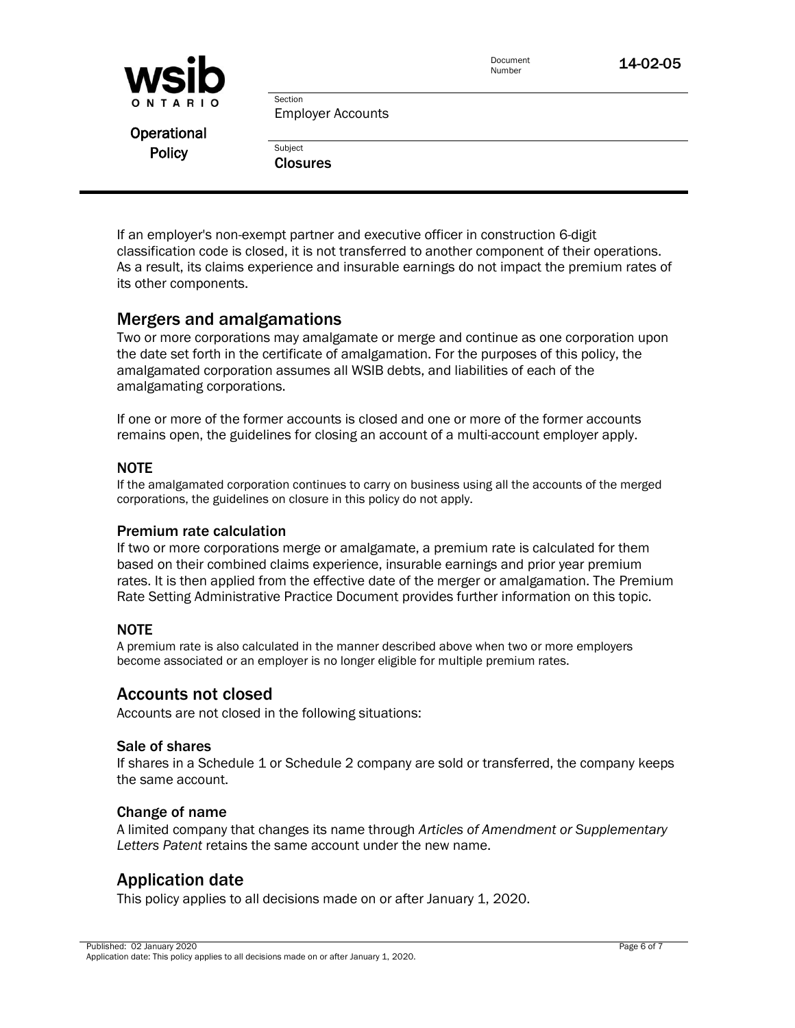| <b>WSID</b>   |                                     | Document<br>Number | 14-02-05 |
|---------------|-------------------------------------|--------------------|----------|
| ONTARIO       | Section<br><b>Employer Accounts</b> |                    |          |
| Operational   |                                     |                    |          |
| <b>Policy</b> | Subject                             |                    |          |
|               | <b>Closures</b>                     |                    |          |
|               |                                     |                    |          |

If an employer's non-exempt partner and executive officer in construction 6-digit classification code is closed, it is not transferred to another component of their operations. As a result, its claims experience and insurable earnings do not impact the premium rates of its other components.

### Mergers and amalgamations

Two or more corporations may amalgamate or merge and continue as one corporation upon the date set forth in the certificate of amalgamation. For the purposes of this policy, the amalgamated corporation assumes all WSIB debts, and liabilities of each of the amalgamating corporations.

If one or more of the former accounts is closed and one or more of the former accounts remains open, the guidelines for closing an account of a multi-account employer apply.

#### NOTE

If the amalgamated corporation continues to carry on business using all the accounts of the merged corporations, the guidelines on closure in this policy do not apply.

#### Premium rate calculation

If two or more corporations merge or amalgamate, a premium rate is calculated for them based on their combined claims experience, insurable earnings and prior year premium rates. It is then applied from the effective date of the merger or amalgamation. The Premium Rate Setting Administrative Practice Document provides further information on this topic.

#### NOTE

A premium rate is also calculated in the manner described above when two or more employers become associated or an employer is no longer eligible for multiple premium rates.

### Accounts not closed

Accounts are not closed in the following situations:

#### Sale of shares

If shares in a Schedule 1 or Schedule 2 company are sold or transferred, the company keeps the same account.

#### Change of name

A limited company that changes its name through *Articles of Amendment or Supplementary Letters Patent* retains the same account under the new name.

### Application date

This policy applies to all decisions made on or after January 1, 2020.

Published: 02 January 2020 Page 6 of 7 Application date: This policy applies to all decisions made on or after January 1, 2020.